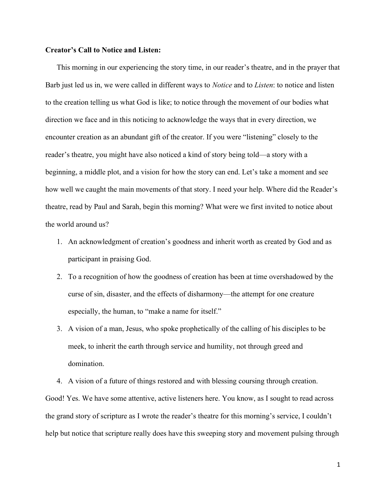## Creator's Call to Notice and Listen:

This morning in our experiencing the story time, in our reader's theatre, and in the prayer that Barb just led us in, we were called in different ways to *Notice* and to *Listen*: to notice and listen to the creation telling us what God is like; to notice through the movement of our bodies what direction we face and in this noticing to acknowledge the ways that in every direction, we encounter creation as an abundant gift of the creator. If you were "listening" closely to the reader's theatre, you might have also noticed a kind of story being told—a story with a beginning, a middle plot, and a vision for how the story can end. Let's take a moment and see how well we caught the main movements of that story. I need your help. Where did the Reader's theatre, read by Paul and Sarah, begin this morning? What were we first invited to notice about the world around us?

- 1. An acknowledgment of creation's goodness and inherit worth as created by God and as participant in praising God.
- 2. To a recognition of how the goodness of creation has been at time overshadowed by the curse of sin, disaster, and the effects of disharmony—the attempt for one creature especially, the human, to "make a name for itself."
- 3. A vision of a man, Jesus, who spoke prophetically of the calling of his disciples to be meek, to inherit the earth through service and humility, not through greed and domination.
- 4. A vision of a future of things restored and with blessing coursing through creation.

Good! Yes. We have some attentive, active listeners here. You know, as I sought to read across the grand story of scripture as I wrote the reader's theatre for this morning's service, I couldn't help but notice that scripture really does have this sweeping story and movement pulsing through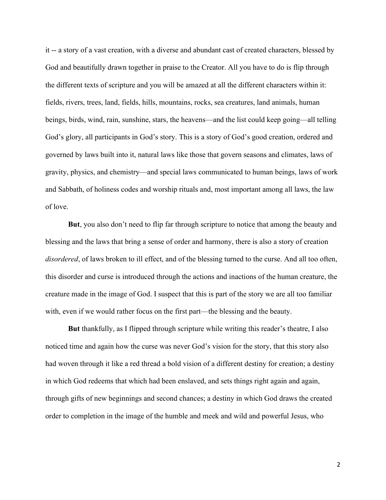it -- a story of a vast creation, with a diverse and abundant cast of created characters, blessed by God and beautifully drawn together in praise to the Creator. All you have to do is flip through the different texts of scripture and you will be amazed at all the different characters within it: fields, rivers, trees, land, fields, hills, mountains, rocks, sea creatures, land animals, human beings, birds, wind, rain, sunshine, stars, the heavens—and the list could keep going—all telling God's glory, all participants in God's story. This is a story of God's good creation, ordered and governed by laws built into it, natural laws like those that govern seasons and climates, laws of gravity, physics, and chemistry—and special laws communicated to human beings, laws of work and Sabbath, of holiness codes and worship rituals and, most important among all laws, the law of love.

But, you also don't need to flip far through scripture to notice that among the beauty and blessing and the laws that bring a sense of order and harmony, there is also a story of creation disordered, of laws broken to ill effect, and of the blessing turned to the curse. And all too often, this disorder and curse is introduced through the actions and inactions of the human creature, the creature made in the image of God. I suspect that this is part of the story we are all too familiar with, even if we would rather focus on the first part—the blessing and the beauty.

But thankfully, as I flipped through scripture while writing this reader's theatre, I also noticed time and again how the curse was never God's vision for the story, that this story also had woven through it like a red thread a bold vision of a different destiny for creation; a destiny in which God redeems that which had been enslaved, and sets things right again and again, through gifts of new beginnings and second chances; a destiny in which God draws the created order to completion in the image of the humble and meek and wild and powerful Jesus, who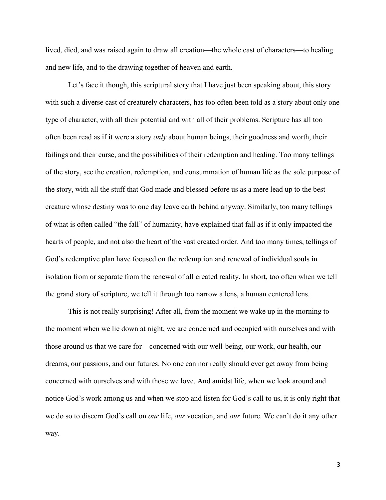lived, died, and was raised again to draw all creation—the whole cast of characters—to healing and new life, and to the drawing together of heaven and earth.

Let's face it though, this scriptural story that I have just been speaking about, this story with such a diverse cast of creaturely characters, has too often been told as a story about only one type of character, with all their potential and with all of their problems. Scripture has all too often been read as if it were a story *only* about human beings, their goodness and worth, their failings and their curse, and the possibilities of their redemption and healing. Too many tellings of the story, see the creation, redemption, and consummation of human life as the sole purpose of the story, with all the stuff that God made and blessed before us as a mere lead up to the best creature whose destiny was to one day leave earth behind anyway. Similarly, too many tellings of what is often called "the fall" of humanity, have explained that fall as if it only impacted the hearts of people, and not also the heart of the vast created order. And too many times, tellings of God's redemptive plan have focused on the redemption and renewal of individual souls in isolation from or separate from the renewal of all created reality. In short, too often when we tell the grand story of scripture, we tell it through too narrow a lens, a human centered lens.

This is not really surprising! After all, from the moment we wake up in the morning to the moment when we lie down at night, we are concerned and occupied with ourselves and with those around us that we care for—concerned with our well-being, our work, our health, our dreams, our passions, and our futures. No one can nor really should ever get away from being concerned with ourselves and with those we love. And amidst life, when we look around and notice God's work among us and when we stop and listen for God's call to us, it is only right that we do so to discern God's call on *our* life, *our* vocation, and *our* future. We can't do it any other way.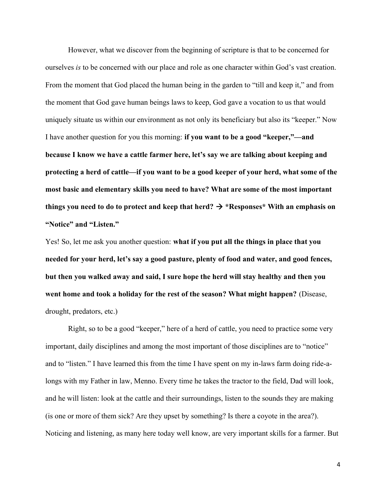However, what we discover from the beginning of scripture is that to be concerned for ourselves is to be concerned with our place and role as one character within God's vast creation. From the moment that God placed the human being in the garden to "till and keep it," and from the moment that God gave human beings laws to keep, God gave a vocation to us that would uniquely situate us within our environment as not only its beneficiary but also its "keeper." Now I have another question for you this morning: if you want to be a good "keeper,"—and because I know we have a cattle farmer here, let's say we are talking about keeping and protecting a herd of cattle—if you want to be a good keeper of your herd, what some of the most basic and elementary skills you need to have? What are some of the most important things you need to do to protect and keep that herd?  $\rightarrow$  \*Responses\* With an emphasis on "Notice" and "Listen."

Yes! So, let me ask you another question: what if you put all the things in place that you needed for your herd, let's say a good pasture, plenty of food and water, and good fences, but then you walked away and said, I sure hope the herd will stay healthy and then you went home and took a holiday for the rest of the season? What might happen? (Disease, drought, predators, etc.)

Right, so to be a good "keeper," here of a herd of cattle, you need to practice some very important, daily disciplines and among the most important of those disciplines are to "notice" and to "listen." I have learned this from the time I have spent on my in-laws farm doing ride-alongs with my Father in law, Menno. Every time he takes the tractor to the field, Dad will look, and he will listen: look at the cattle and their surroundings, listen to the sounds they are making (is one or more of them sick? Are they upset by something? Is there a coyote in the area?). Noticing and listening, as many here today well know, are very important skills for a farmer. But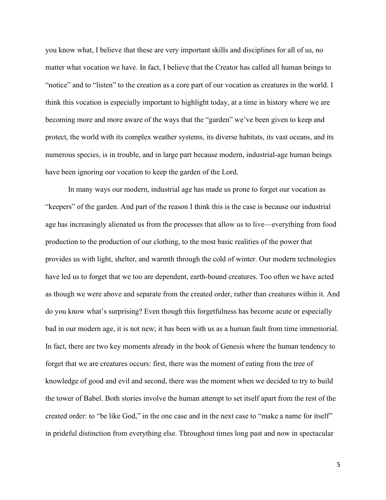you know what, I believe that these are very important skills and disciplines for all of us, no matter what vocation we have. In fact, I believe that the Creator has called all human beings to "notice" and to "listen" to the creation as a core part of our vocation as creatures in the world. I think this vocation is especially important to highlight today, at a time in history where we are becoming more and more aware of the ways that the "garden" we've been given to keep and protect, the world with its complex weather systems, its diverse habitats, its vast oceans, and its numerous species, is in trouble, and in large part because modern, industrial-age human beings have been ignoring our vocation to keep the garden of the Lord.

In many ways our modern, industrial age has made us prone to forget our vocation as "keepers" of the garden. And part of the reason I think this is the case is because our industrial age has increasingly alienated us from the processes that allow us to live—everything from food production to the production of our clothing, to the most basic realities of the power that provides us with light, shelter, and warmth through the cold of winter. Our modern technologies have led us to forget that we too are dependent, earth-bound creatures. Too often we have acted as though we were above and separate from the created order, rather than creatures within it. And do you know what's surprising? Even though this forgetfulness has become acute or especially bad in our modern age, it is not new; it has been with us as a human fault from time immemorial. In fact, there are two key moments already in the book of Genesis where the human tendency to forget that we are creatures occurs: first, there was the moment of eating from the tree of knowledge of good and evil and second, there was the moment when we decided to try to build the tower of Babel. Both stories involve the human attempt to set itself apart from the rest of the created order: to "be like God," in the one case and in the next case to "make a name for itself" in prideful distinction from everything else. Throughout times long past and now in spectacular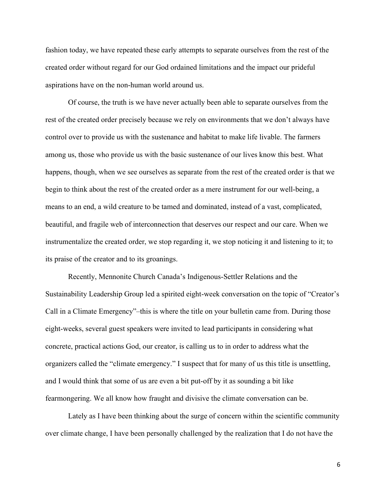fashion today, we have repeated these early attempts to separate ourselves from the rest of the created order without regard for our God ordained limitations and the impact our prideful aspirations have on the non-human world around us.

Of course, the truth is we have never actually been able to separate ourselves from the rest of the created order precisely because we rely on environments that we don't always have control over to provide us with the sustenance and habitat to make life livable. The farmers among us, those who provide us with the basic sustenance of our lives know this best. What happens, though, when we see ourselves as separate from the rest of the created order is that we begin to think about the rest of the created order as a mere instrument for our well-being, a means to an end, a wild creature to be tamed and dominated, instead of a vast, complicated, beautiful, and fragile web of interconnection that deserves our respect and our care. When we instrumentalize the created order, we stop regarding it, we stop noticing it and listening to it; to its praise of the creator and to its groanings.

Recently, Mennonite Church Canada's Indigenous-Settler Relations and the Sustainability Leadership Group led a spirited eight-week conversation on the topic of "Creator's Call in a Climate Emergency"–this is where the title on your bulletin came from. During those eight-weeks, several guest speakers were invited to lead participants in considering what concrete, practical actions God, our creator, is calling us to in order to address what the organizers called the "climate emergency." I suspect that for many of us this title is unsettling, and I would think that some of us are even a bit put-off by it as sounding a bit like fearmongering. We all know how fraught and divisive the climate conversation can be.

Lately as I have been thinking about the surge of concern within the scientific community over climate change, I have been personally challenged by the realization that I do not have the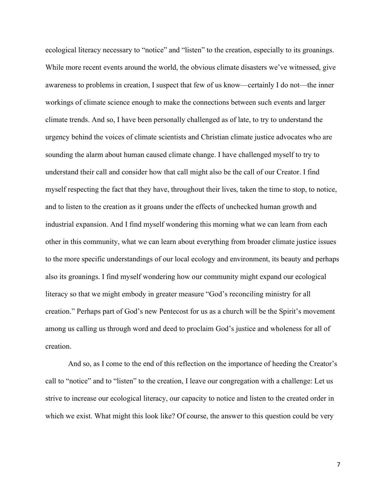ecological literacy necessary to "notice" and "listen" to the creation, especially to its groanings. While more recent events around the world, the obvious climate disasters we've witnessed, give awareness to problems in creation, I suspect that few of us know—certainly I do not—the inner workings of climate science enough to make the connections between such events and larger climate trends. And so, I have been personally challenged as of late, to try to understand the urgency behind the voices of climate scientists and Christian climate justice advocates who are sounding the alarm about human caused climate change. I have challenged myself to try to understand their call and consider how that call might also be the call of our Creator. I find myself respecting the fact that they have, throughout their lives, taken the time to stop, to notice, and to listen to the creation as it groans under the effects of unchecked human growth and industrial expansion. And I find myself wondering this morning what we can learn from each other in this community, what we can learn about everything from broader climate justice issues to the more specific understandings of our local ecology and environment, its beauty and perhaps also its groanings. I find myself wondering how our community might expand our ecological literacy so that we might embody in greater measure "God's reconciling ministry for all creation." Perhaps part of God's new Pentecost for us as a church will be the Spirit's movement among us calling us through word and deed to proclaim God's justice and wholeness for all of creation.

And so, as I come to the end of this reflection on the importance of heeding the Creator's call to "notice" and to "listen" to the creation, I leave our congregation with a challenge: Let us strive to increase our ecological literacy, our capacity to notice and listen to the created order in which we exist. What might this look like? Of course, the answer to this question could be very